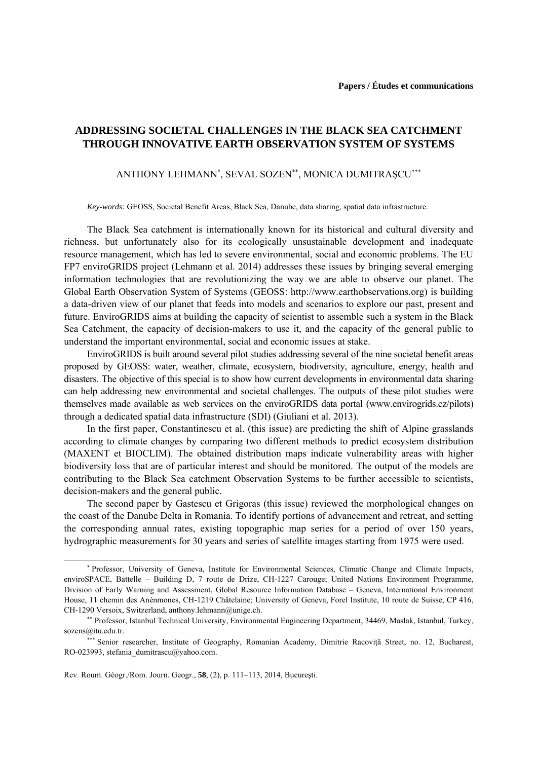## **ADDRESSING SOCIETAL CHALLENGES IN THE BLACK SEA CATCHMENT THROUGH INNOVATIVE EARTH OBSERVATION SYSTEM OF SYSTEMS**

## ANTHONY LEHMANN<sup>∗</sup> , SEVAL SOZEN∗∗, MONICA DUMITRAŞCU∗∗∗

*Key-words:* GEOSS, Societal Benefit Areas, Black Sea, Danube, data sharing, spatial data infrastructure.

The Black Sea catchment is internationally known for its historical and cultural diversity and richness, but unfortunately also for its ecologically unsustainable development and inadequate resource management, which has led to severe environmental, social and economic problems. The EU FP7 enviroGRIDS project (Lehmann et al. 2014) addresses these issues by bringing several emerging information technologies that are revolutionizing the way we are able to observe our planet. The Global Earth Observation System of Systems (GEOSS: http://www.earthobservations.org) is building a data-driven view of our planet that feeds into models and scenarios to explore our past, present and future. EnviroGRIDS aims at building the capacity of scientist to assemble such a system in the Black Sea Catchment, the capacity of decision-makers to use it, and the capacity of the general public to understand the important environmental, social and economic issues at stake.

EnviroGRIDS is built around several pilot studies addressing several of the nine societal benefit areas proposed by GEOSS: water, weather, climate, ecosystem, biodiversity, agriculture, energy, health and disasters. The objective of this special is to show how current developments in environmental data sharing can help addressing new environmental and societal challenges. The outputs of these pilot studies were themselves made available as web services on the enviroGRIDS data portal (www.envirogrids.cz/pilots) through a dedicated spatial data infrastructure (SDI) (Giuliani et al. 2013).

In the first paper, Constantinescu et al. (this issue) are predicting the shift of Alpine grasslands according to climate changes by comparing two different methods to predict ecosystem distribution (MAXENT et BIOCLIM). The obtained distribution maps indicate vulnerability areas with higher biodiversity loss that are of particular interest and should be monitored. The output of the models are contributing to the Black Sea catchment Observation Systems to be further accessible to scientists, decision-makers and the general public.

The second paper by Gastescu et Grigoras (this issue) reviewed the morphological changes on the coast of the Danube Delta in Romania. To identify portions of advancement and retreat, and setting the corresponding annual rates, existing topographic map series for a period of over 150 years, hydrographic measurements for 30 years and series of satellite images starting from 1975 were used.

 $\overline{a}$ 

<sup>∗</sup> Professor, University of Geneva, Institute for Environmental Sciences, Climatic Change and Climate Impacts, enviroSPACE, Battelle – Building D, 7 route de Drize, CH-1227 Carouge; United Nations Environment Programme, Division of Early Warning and Assessment, Global Resource Information Database – Geneva, International Environment House, 11 chemin des Anénmones, CH-1219 Châtelaine; University of Geneva, Forel Institute, 10 route de Suisse, CP 416, CH-1290 Versoix, Switzerland, anthony.lehmann@unige.ch.

<sup>∗∗</sup> Professor, Istanbul Technical University, Environmental Engineering Department, 34469, Maslak, Istanbul, Turkey, sozens@itu.edu.tr.

<sup>\*\*\*</sup> Senior researcher, Institute of Geography, Romanian Academy, Dimitrie Racovită Street, no. 12, Bucharest, RO-023993, stefania\_dumitrascu@yahoo.com.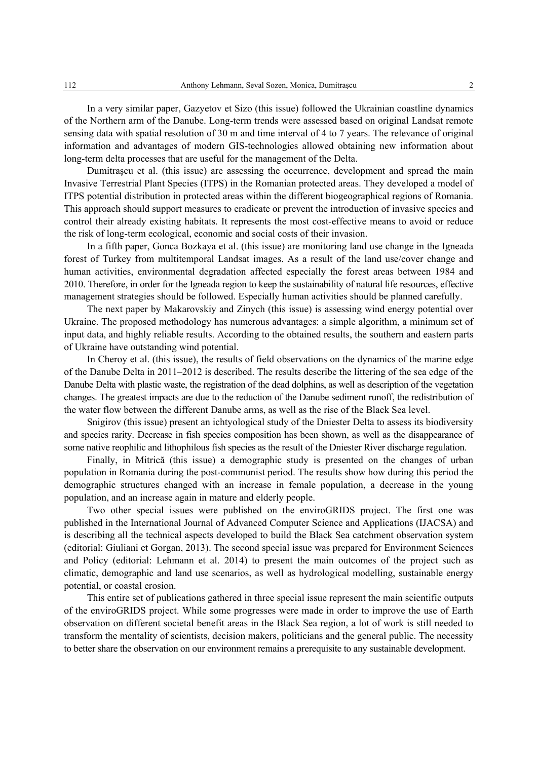In a very similar paper, Gazyetov et Sizo (this issue) followed the Ukrainian coastline dynamics of the Northern arm of the Danube. Long-term trends were assessed based on original Landsat remote sensing data with spatial resolution of 30 m and time interval of 4 to 7 years. The relevance of original information and advantages of modern GIS-technologies allowed obtaining new information about long-term delta processes that are useful for the management of the Delta.

Dumitraşcu et al. (this issue) are assessing the occurrence, development and spread the main Invasive Terrestrial Plant Species (ITPS) in the Romanian protected areas. They developed a model of ITPS potential distribution in protected areas within the different biogeographical regions of Romania. This approach should support measures to eradicate or prevent the introduction of invasive species and control their already existing habitats. It represents the most cost-effective means to avoid or reduce the risk of long-term ecological, economic and social costs of their invasion.

In a fifth paper, Gonca Bozkaya et al. (this issue) are monitoring land use change in the Igneada forest of Turkey from multitemporal Landsat images. As a result of the land use/cover change and human activities, environmental degradation affected especially the forest areas between 1984 and 2010. Therefore, in order for the Igneada region to keep the sustainability of natural life resources, effective management strategies should be followed. Especially human activities should be planned carefully.

The next paper by Makarovskiy and Zinych (this issue) is assessing wind energy potential over Ukraine. The proposed methodology has numerous advantages: a simple algorithm, a minimum set of input data, and highly reliable results. According to the obtained results, the southern and eastern parts of Ukraine have outstanding wind potential.

In Cheroy et al. (this issue), the results of field observations on the dynamics of the marine edge of the Danube Delta in 2011–2012 is described. The results describe the littering of the sea edge of the Danube Delta with plastic waste, the registration of the dead dolphins, as well as description of the vegetation changes. The greatest impacts are due to the reduction of the Danube sediment runoff, the redistribution of the water flow between the different Danube arms, as well as the rise of the Black Sea level.

Snigirov (this issue) present an ichtyological study of the Dniester Delta to assess its biodiversity and species rarity. Decrease in fish species composition has been shown, as well as the disappearance of some native reophilic and lithophilous fish species as the result of the Dniеster River discharge regulation.

Finally, in Mitrică (this issue) a demographic study is presented on the changes of urban population in Romania during the post-communist period. The results show how during this period the demographic structures changed with an increase in female population, a decrease in the young population, and an increase again in mature and elderly people.

Two other special issues were published on the enviroGRIDS project. The first one was published in the International Journal of Advanced Computer Science and Applications (IJACSA) and is describing all the technical aspects developed to build the Black Sea catchment observation system (editorial: Giuliani et Gorgan, 2013). The second special issue was prepared for Environment Sciences and Policy (editorial: Lehmann et al. 2014) to present the main outcomes of the project such as climatic, demographic and land use scenarios, as well as hydrological modelling, sustainable energy potential, or coastal erosion.

This entire set of publications gathered in three special issue represent the main scientific outputs of the enviroGRIDS project. While some progresses were made in order to improve the use of Earth observation on different societal benefit areas in the Black Sea region, a lot of work is still needed to transform the mentality of scientists, decision makers, politicians and the general public. The necessity to better share the observation on our environment remains a prerequisite to any sustainable development.